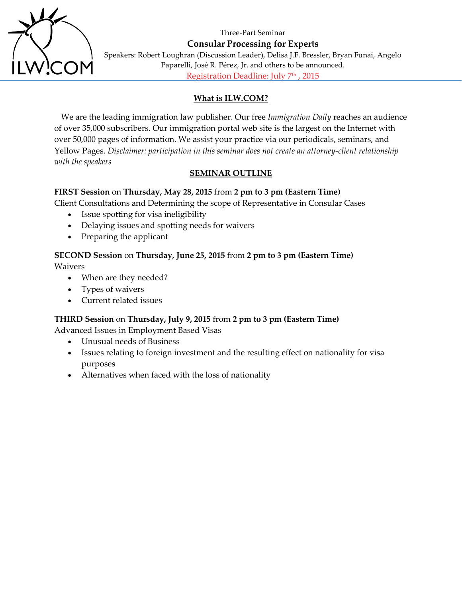Three-Part Seminar



**Consular Processing for Experts** Speakers: Robert Loughran (Discussion Leader), Delisa J.F. Bressler, Bryan Funai, Angelo Paparelli, José R. Pérez, Jr. and others to be announced.

Registration Deadline: July 7<sup>th</sup>, 2015

# **What is ILW.COM?**

We are the leading immigration law publisher. Our free *Immigration Daily* reaches an audience of over 35,000 subscribers. Our immigration portal web site is the largest on the Internet with over 50,000 pages of information. We assist your practice via our periodicals, seminars, and Yellow Pages. *Disclaimer: participation in this seminar does not create an attorney-client relationship with the speakers*

# **SEMINAR OUTLINE**

## **FIRST Session** on **Thursday, May 28, 2015** from **2 pm to 3 pm (Eastern Time)**

Client Consultations and Determining the scope of Representative in Consular Cases

- Issue spotting for visa ineligibility
- Delaying issues and spotting needs for waivers
- Preparing the applicant

# **SECOND Session** on **Thursday, June 25, 2015** from **2 pm to 3 pm (Eastern Time)** Waivers

- When are they needed?
- Types of waivers
- Current related issues

## **THIRD Session** on **Thursday, July 9, 2015** from **2 pm to 3 pm (Eastern Time)**

Advanced Issues in Employment Based Visas

- Unusual needs of Business
- Issues relating to foreign investment and the resulting effect on nationality for visa purposes
- Alternatives when faced with the loss of nationality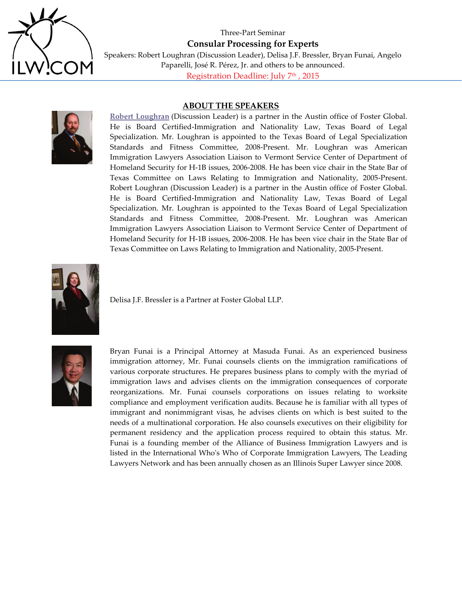

Three-Part Seminar **Consular Processing for Experts** Speakers: Robert Loughran (Discussion Leader), Delisa J.F. Bressler, Bryan Funai, Angelo Paparelli, José R. Pérez, Jr. and others to be announced. Registration Deadline: July 7<sup>th</sup>, 2015

#### **ABOUT THE SPEAKERS**

**[Robert Loughran](http://www.fosterglobal.com/about-us/attorneys/name/robert-loughran/)** (Discussion Leader) is a partner in the Austin office of Foster Global. He is Board Certified-Immigration and Nationality Law, Texas Board of Legal Specialization. Mr. Loughran is appointed to the Texas Board of Legal Specialization Standards and Fitness Committee, 2008-Present. Mr. Loughran was American Immigration Lawyers Association Liaison to Vermont Service Center of Department of Homeland Security for H-1B issues, 2006-2008. He has been vice chair in the State Bar of Texas Committee on Laws Relating to Immigration and Nationality, 2005-Present. Robert Loughran (Discussion Leader) is a partner in the Austin office of Foster Global. He is Board Certified-Immigration and Nationality Law, Texas Board of Legal Specialization. Mr. Loughran is appointed to the Texas Board of Legal Specialization Standards and Fitness Committee, 2008-Present. Mr. Loughran was American Immigration Lawyers Association Liaison to Vermont Service Center of Department of Homeland Security for H-1B issues, 2006-2008. He has been vice chair in the State Bar of Texas Committee on Laws Relating to Immigration and Nationality, 2005-Present.



Delisa J.F. Bressler is a Partner at Foster Global LLP.



Bryan Funai is a Principal Attorney at Masuda Funai. As an experienced business immigration attorney, Mr. Funai counsels clients on the immigration ramifications of various corporate structures. He prepares business plans to comply with the myriad of immigration laws and advises clients on the immigration consequences of corporate reorganizations. Mr. Funai counsels corporations on issues relating to worksite compliance and employment verification audits. Because he is familiar with all types of immigrant and nonimmigrant visas, he advises clients on which is best suited to the needs of a multinational corporation. He also counsels executives on their eligibility for permanent residency and the application process required to obtain this status. Mr. Funai is a founding member of the Alliance of Business Immigration Lawyers and is listed in the International Who's Who of Corporate Immigration Lawyers, The Leading Lawyers Network and has been annually chosen as an Illinois Super Lawyer since 2008.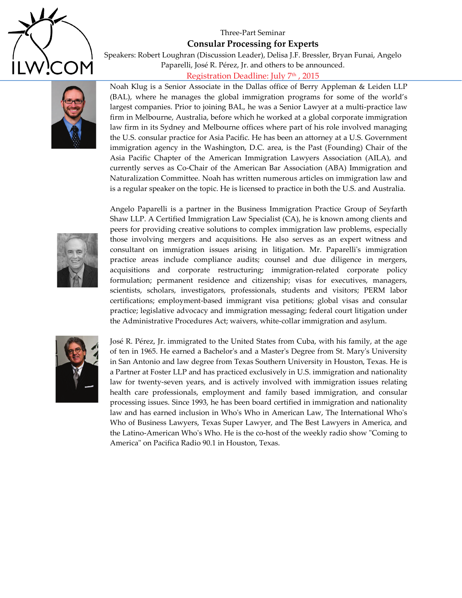

## Three-Part Seminar

### **Consular Processing for Experts**

Speakers: Robert Loughran (Discussion Leader), Delisa J.F. Bressler, Bryan Funai, Angelo Paparelli, José R. Pérez, Jr. and others to be announced.

# Registration Deadline: July 7<sup>th</sup>, 2015



Noah Klug is a Senior Associate in the Dallas office of Berry Appleman & Leiden LLP (BAL), where he manages the global immigration programs for some of the world's largest companies. Prior to joining BAL, he was a Senior Lawyer at a multi-practice law firm in Melbourne, Australia, before which he worked at a global corporate immigration law firm in its Sydney and Melbourne offices where part of his role involved managing the U.S. consular practice for Asia Pacific. He has been an attorney at a U.S. Government immigration agency in the Washington, D.C. area, is the Past (Founding) Chair of the Asia Pacific Chapter of the American Immigration Lawyers Association (AILA), and currently serves as Co-Chair of the American Bar Association (ABA) Immigration and Naturalization Committee. Noah has written numerous articles on immigration law and is a regular speaker on the topic. He is licensed to practice in both the U.S. and Australia.



Angelo Paparelli is a partner in the Business Immigration Practice Group of Seyfarth Shaw LLP. A Certified Immigration Law Specialist (CA), he is known among clients and peers for providing creative solutions to complex immigration law problems, especially those involving mergers and acquisitions. He also serves as an expert witness and consultant on immigration issues arising in litigation. Mr. Paparelli's immigration practice areas include compliance audits; counsel and due diligence in mergers, acquisitions and corporate restructuring; immigration-related corporate policy formulation; permanent residence and citizenship; visas for executives, managers, scientists, scholars, investigators, professionals, students and visitors; PERM labor certifications; employment-based immigrant visa petitions; global visas and consular practice; legislative advocacy and immigration messaging; federal court litigation under the Administrative Procedures Act; waivers, white-collar immigration and asylum.



José R. Pérez, Jr. immigrated to the United States from Cuba, with his family, at the age of ten in 1965. He earned a Bachelor's and a Master's Degree from St. Mary's University in San Antonio and law degree from Texas Southern University in Houston, Texas. He is a Partner at Foster LLP and has practiced exclusively in U.S. immigration and nationality law for twenty-seven years, and is actively involved with immigration issues relating health care professionals, employment and family based immigration, and consular processing issues. Since 1993, he has been board certified in immigration and nationality law and has earned inclusion in Who's Who in American Law, The International Who's Who of Business Lawyers, Texas Super Lawyer, and The Best Lawyers in America, and the Latino-American Who's Who. He is the co-host of the weekly radio show "Coming to America" on Pacifica Radio 90.1 in Houston, Texas.